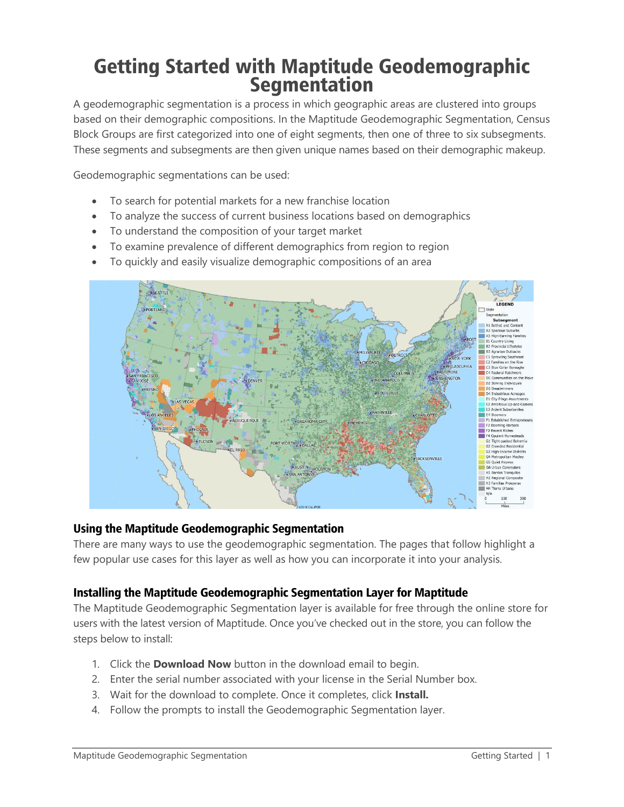# Getting Started with Maptitude Geodemographic **Segmentation**

A geodemographic segmentation is a process in which geographic areas are clustered into groups based on their demographic compositions. In the Maptitude Geodemographic Segmentation, Census Block Groups are first categorized into one of eight segments, then one of three to six subsegments. These segments and subsegments are then given unique names based on their demographic makeup.

Geodemographic segmentations can be used:

- To search for potential markets for a new franchise location
- To analyze the success of current business locations based on demographics
- To understand the composition of your target market
- To examine prevalence of different demographics from region to region
- To quickly and easily visualize demographic compositions of an area



### Using the Maptitude Geodemographic Segmentation

There are many ways to use the geodemographic segmentation. The pages that follow highlight a few popular use cases for this layer as well as how you can incorporate it into your analysis.

### Installing the Maptitude Geodemographic Segmentation Layer for Maptitude

The Maptitude Geodemographic Segmentation layer is available for free through the online store for users with the latest version of Maptitude. Once you've checked out in the store, you can follow the steps below to install:

- 1. Click the **Download Now** button in the download email to begin.
- 2. Enter the serial number associated with your license in the Serial Number box.
- 3. Wait for the download to complete. Once it completes, click **Install.**
- 4. Follow the prompts to install the Geodemographic Segmentation layer.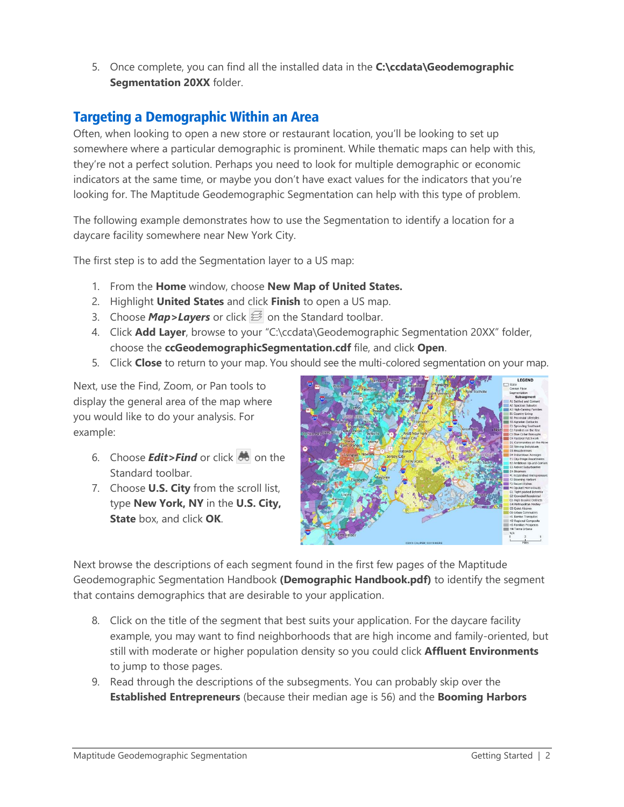5. Once complete, you can find all the installed data in the **C:\ccdata\Geodemographic Segmentation 20XX** folder.

# Targeting a Demographic Within an Area

Often, when looking to open a new store or restaurant location, you'll be looking to set up somewhere where a particular demographic is prominent. While thematic maps can help with this, they're not a perfect solution. Perhaps you need to look for multiple demographic or economic indicators at the same time, or maybe you don't have exact values for the indicators that you're looking for. The Maptitude Geodemographic Segmentation can help with this type of problem.

The following example demonstrates how to use the Segmentation to identify a location for a daycare facility somewhere near New York City.

The first step is to add the Segmentation layer to a US map:

- 1. From the **Home** window, choose **New Map of United States.**
- 2. Highlight **United States** and click **Finish** to open a US map.
- 3. Choose **Map>Layers** or click  $\mathcal{F}$  on the Standard toolbar.
- 4. Click **Add Layer**, browse to your "C:\ccdata\Geodemographic Segmentation 20XX" folder, choose the **ccGeodemographicSegmentation.cdf** file, and click **Open**.
- 5. Click **Close** to return to your map. You should see the multi-colored segmentation on your map.

Next, use the Find, Zoom, or Pan tools to display the general area of the map where you would like to do your analysis. For example:

- 6. Choose *Edit>Find* or click **dee** on the Standard toolbar.
- 7. Choose **U.S. City** from the scroll list, type **New York, NY** in the **U.S. City, State** box, and click **OK**.



Next browse the descriptions of each segment found in the first few pages of the Maptitude Geodemographic Segmentation Handbook **(Demographic Handbook.pdf)** to identify the segment that contains demographics that are desirable to your application.

- 8. Click on the title of the segment that best suits your application. For the daycare facility example, you may want to find neighborhoods that are high income and family-oriented, but still with moderate or higher population density so you could click **Affluent Environments** to jump to those pages.
- 9. Read through the descriptions of the subsegments. You can probably skip over the **Established Entrepreneurs** (because their median age is 56) and the **Booming Harbors**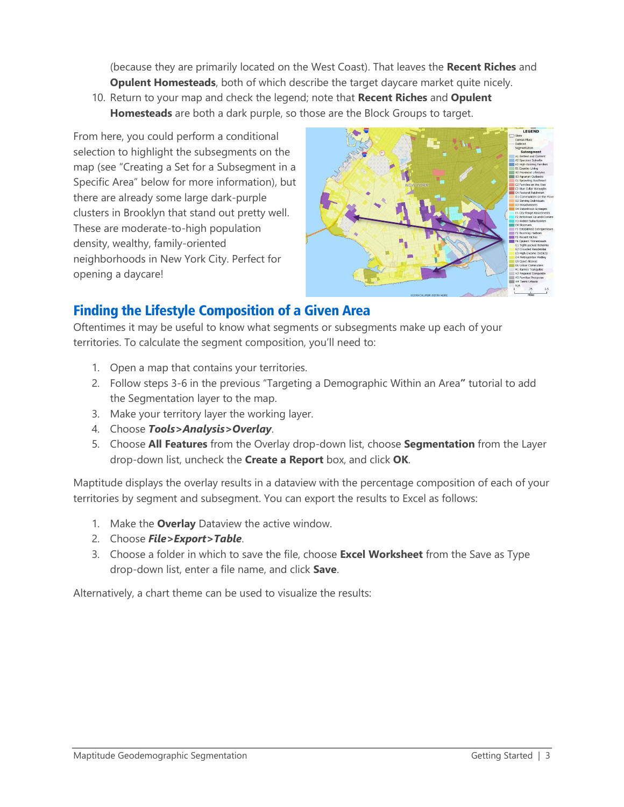(because they are primarily located on the West Coast). That leaves the **Recent Riches** and **Opulent Homesteads**, both of which describe the target daycare market quite nicely.

10. Return to your map and check the legend; note that **Recent Riches** and **Opulent Homesteads** are both a dark purple, so those are the Block Groups to target.

From here, you could perform a conditional selection to highlight the subsegments on the map (see "Creating a Set for a Subsegment in a Specific Area" below for more information), but there are already some large dark-purple clusters in Brooklyn that stand out pretty well. These are moderate-to-high population density, wealthy, family-oriented neighborhoods in New York City. Perfect for opening a daycare!



# Finding the Lifestyle Composition of a Given Area

Oftentimes it may be useful to know what segments or subsegments make up each of your territories. To calculate the segment composition, you'll need to:

- 1. Open a map that contains your territories.
- 2. Follow steps 3-6 in the previous "Targeting a Demographic Within an Area**"** tutorial to add the Segmentation layer to the map.
- 3. Make your territory layer the working layer.
- 4. Choose *Tools>Analysis>Overlay*.
- 5. Choose **All Features** from the Overlay drop-down list, choose **Segmentation** from the Layer drop-down list, uncheck the **Create a Report** box, and click **OK**.

Maptitude displays the overlay results in a dataview with the percentage composition of each of your territories by segment and subsegment. You can export the results to Excel as follows:

- 1. Make the **Overlay** Dataview the active window.
- 2. Choose *File>Export>Table*.
- 3. Choose a folder in which to save the file, choose **Excel Worksheet** from the Save as Type drop-down list, enter a file name, and click **Save**.

Alternatively, a chart theme can be used to visualize the results: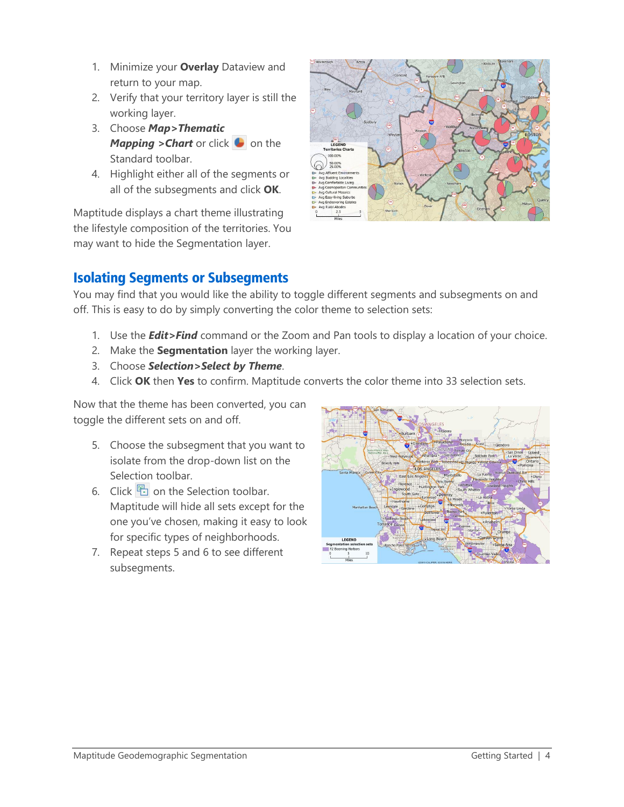- 1. Minimize your **Overlay** Dataview and return to your map.
- 2. Verify that your territory layer is still the working layer.
- 3. Choose *Map>Thematic Mapping > Chart* or click **b** on the Standard toolbar.
- 4. Highlight either all of the segments or all of the subsegments and click **OK**.

Maptitude displays a chart theme illustrating the lifestyle composition of the territories. You may want to hide the Segmentation layer.



# Isolating Segments or Subsegments

You may find that you would like the ability to toggle different segments and subsegments on and off. This is easy to do by simply converting the color theme to selection sets:

- 1. Use the *Edit>Find* command or the Zoom and Pan tools to display a location of your choice.
- 2. Make the **Segmentation** layer the working layer.
- 3. Choose *Selection>Select by Theme*.
- 4. Click **OK** then **Yes** to confirm. Maptitude converts the color theme into 33 selection sets.

Now that the theme has been converted, you can toggle the different sets on and off.

- 5. Choose the subsegment that you want to isolate from the drop-down list on the Selection toolbar.
- 6. Click  $\Box$  on the Selection toolbar. Maptitude will hide all sets except for the one you've chosen, making it easy to look for specific types of neighborhoods.
- 7. Repeat steps 5 and 6 to see different subsegments.

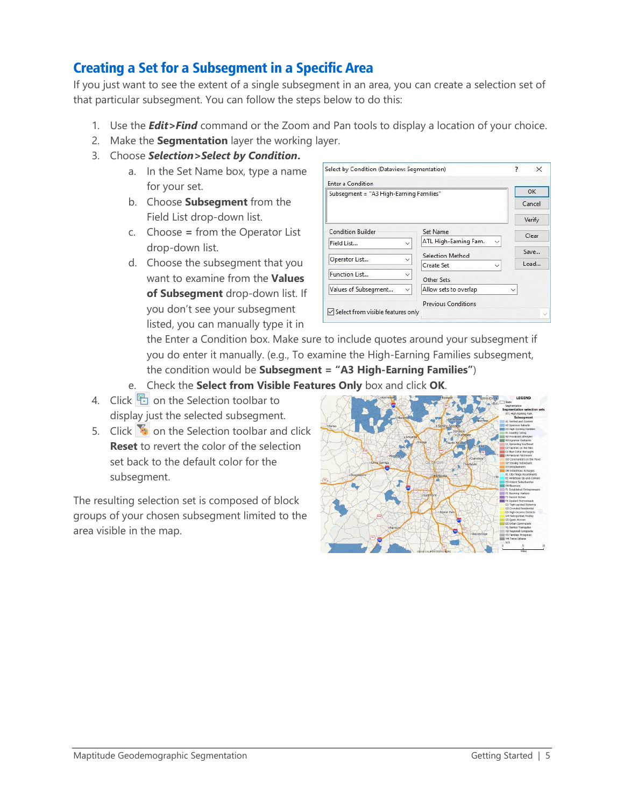# Creating a Set for a Subsegment in a Specific Area

If you just want to see the extent of a single subsegment in an area, you can create a selection set of that particular subsegment. You can follow the steps below to do this:

- 1. Use the *Edit>Find* command or the Zoom and Pan tools to display a location of your choice.
- 2. Make the **Segmentation** layer the working layer.
- 3. Choose *Selection>Select by Condition***.**
	- a. In the Set Name box, type a name for your set.
	- b. Choose **Subsegment** from the Field List drop-down list.
	- c. Choose **=** from the Operator List drop-down list.
	- d. Choose the subsegment that you want to examine from the **Values of Subsegment** drop-down list. If you don't see your subsegment listed, you can manually type it in

| Enter a Condition                       |                                                       |              |
|-----------------------------------------|-------------------------------------------------------|--------------|
| Subsegment = "A3 High-Earning Families" |                                                       | OK           |
|                                         |                                                       | Cancel       |
|                                         |                                                       | Verify       |
| <b>Condition Builder</b>                | Set Name                                              | Clear        |
| Field List                              | ATL High-Earning Fam.<br>$\checkmark$<br>$\checkmark$ |              |
| Operator List                           | Selection Method<br>$\checkmark$                      | Save         |
|                                         | Create Set<br>$\checkmark$                            | load         |
| Function List                           | $\checkmark$<br>Other Sets                            |              |
| Values of Subsegment                    | Allow sets to overlap<br>V                            | $\checkmark$ |
|                                         | <b>Previous Conditions</b>                            |              |

the Enter a Condition box. Make sure to include quotes around your subsegment if you do enter it manually. (e.g., To examine the High-Earning Families subsegment, the condition would be **Subsegment = "A3 High-Earning Families"**)

- e. Check the **Select from Visible Features Only** box and click **OK**.
- 4. Click  $\begin{array}{|c|c|c|}\n\hline\n\bullet\end{array}$  on the Selection toolbar to display just the selected subsegment.
- 5. Click  $\bullet$  on the Selection toolbar and click **Reset** to revert the color of the selection set back to the default color for the subsegment.

The resulting selection set is composed of block groups of your chosen subsegment limited to the area visible in the map.